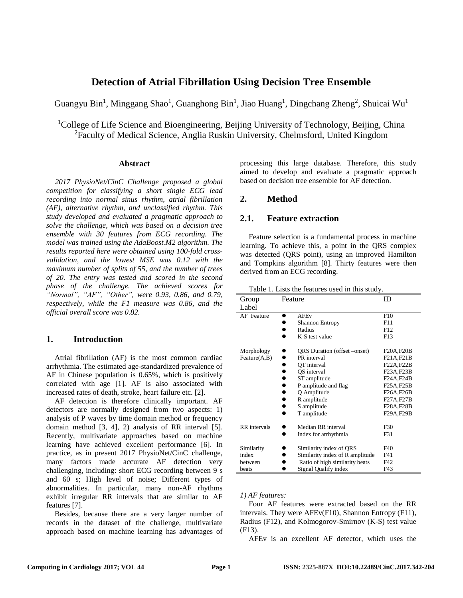# **Detection of Atrial Fibrillation Using Decision Tree Ensemble**

Guangyu Bin<sup>1</sup>, Minggang Shao<sup>1</sup>, Guanghong Bin<sup>1</sup>, Jiao Huang<sup>1</sup>, Dingchang Zheng<sup>2</sup>, Shuicai Wu<sup>1</sup>

<sup>1</sup>College of Life Science and Bioengineering, Beijing University of Technology, Beijing, China <sup>2</sup>Faculty of Medical Science, Anglia Ruskin University, Chelmsford, United Kingdom

### **Abstract**

*2017 PhysioNet/CinC Challenge proposed a global competition for classifying a short single ECG lead recording into normal sinus rhythm, atrial fibrillation (AF), alternative rhythm, and unclassified rhythm. This study developed and evaluated a pragmatic approach to solve the challenge, which was based on a decision tree ensemble with 30 features from ECG recording. The model was trained using the AdaBoost.M2 algorithm. The results reported here were obtained using 100-fold crossvalidation, and the lowest MSE was 0.12 with the maximum number of splits of 55, and the number of trees of 20. The entry was tested and scored in the second phase of the challenge. The achieved scores for "Normal", "AF", "Other", were 0.93, 0.86, and 0.79, respectively, while the F1 measure was 0.86, and the official overall score was 0.82.*

# **1. Introduction**

Atrial fibrillation (AF) is the most common cardiac arrhythmia. The estimated age-standardized prevalence of AF in Chinese population is 0.65%, which is positively correlated with age [1]. AF is also associated with increased rates of death, stroke, heart failure etc. [2].

AF detection is therefore clinically important. AF detectors are normally designed from two aspects: 1) analysis of P waves by time domain method or frequency domain method [3, 4], 2) analysis of RR interval [5]. Recently, multivariate approaches based on machine learning have achieved excellent performance [6]. In practice, as in present 2017 PhysioNet/CinC challenge, many factors made accurate AF detection very challenging, including: short ECG recording between 9 s and 60 s; High level of noise; Different types of abnormalities. In particular, many non-AF rhythms exhibit irregular RR intervals that are similar to AF features [7].

Besides, because there are a very larger number of records in the dataset of the challenge, multivariate approach based on machine learning has advantages of processing this large database. Therefore, this study aimed to develop and evaluate a pragmatic approach based on decision tree ensemble for AF detection.

# **2. Method**

# **2.1. Feature extraction**

Feature selection is a fundamental process in machine learning. To achieve this, a point in the QRS complex was detected (QRS point), using an improved Hamilton and Tompkins algorithm [8]. Thirty features were then derived from an ECG recording.

| Group               | Feature                         | ID         |
|---------------------|---------------------------------|------------|
| Label               |                                 |            |
| AF Feature          | <b>AFEv</b><br>$\bullet$        | F10        |
|                     | Shannon Entropy                 | F11        |
|                     | Radius                          | F12        |
|                     | K-S test value                  | F13        |
| Morphology          | QRS Duration (offset -onset)    | F20A, F20B |
| Feature(A,B)        | PR interval                     | F21A, F21B |
|                     | OT interval                     | F22A, F22B |
|                     | OS interval                     | F23A, F23B |
|                     | ST amplitude                    | F24A, F24B |
|                     | P amplitude and flag            | F25A, F25B |
|                     | Q Amplitude                     | F26A, F26B |
|                     | R amplitude                     | F27A, F27B |
|                     | S amplitude                     | F28A, F28B |
|                     | T amplitude                     | F29A, F29B |
| <b>RR</b> intervals | Median RR interval              | F30        |
|                     | Index for arrhythmia            | F31        |
| Similarity          | Similarity index of QRS         | F40        |
| index               | Similarity index of R amplitude | F41        |
| hetween             | Ratio of high similarity beats  | F42        |
| beats               | Signal Qualify index            | F43        |

Table 1. Lists the features used in this study.

#### *1) AF features:*

Four AF features were extracted based on the RR intervals. They were AFEv(F10), Shannon Entropy (F11), Radius (F12), and Kolmogorov-Smirnov (K-S) test value (F13).

AFEv is an excellent AF detector, which uses the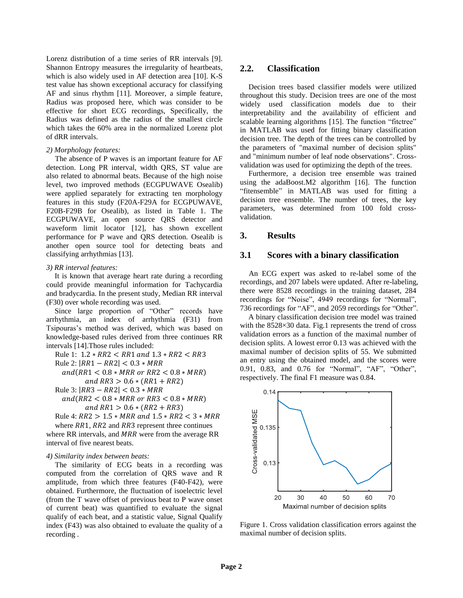Lorenz distribution of a time series of RR intervals [9]. Shannon Entropy measures the irregularity of heartbeats, which is also widely used in AF detection area [10]. K-S test value has shown exceptional accuracy for classifying AF and sinus rhythm [11]. Moreover, a simple feature, Radius was proposed here, which was consider to be effective for short ECG recordings, Specifically, the Radius was defined as the radius of the smallest circle which takes the 60% area in the normalized Lorenz plot of dRR intervals.

#### *2) Morphology features:*

The absence of P waves is an important feature for AF detection. Long PR interval, width QRS, ST value are also related to abnormal beats. Because of the high noise level, two improved methods (ECGPUWAVE Osealib) were applied separately for extracting ten morphology features in this study (F20A-F29A for ECGPUWAVE, F20B-F29B for Osealib), as listed in Table 1. The ECGPUWAVE, an open source QRS detector and waveform limit locator [12], has shown excellent performance for P wave and QRS detection. Osealib is another open source tool for detecting beats and classifying arrhythmias [13].

#### *3) RR interval features:*

It is known that average heart rate during a recording could provide meaningful information for Tachycardia and bradycardia. In the present study, Median RR interval (F30) over whole recording was used.

Since large proportion of "Other" records have arrhythmia, an index of arrhythmia (F31) from Tsipouras's method was derived, which was based on knowledge-based rules derived from three continues RR intervals [14].Those rules included:

Rule 1: 
$$
1.2 * RR2 < RR1
$$
 and  $1.3 * RR2 < RR3$ 

Rule 2:  $|RR1 - RR2| < 0.3 * MRR$ 

$$
and (RR1 < 0.8 * MRR \text{ or } RR2 < 0.8 * MRR)
$$
\n
$$
and RR3 > 0.6 * (RR1 + RR2)
$$

Rule 3:  $|RR3 - RR2| < 0.3 * MRR$ 

 $and(RR2 < 0.8 * MRR \text{ or } RR3 < 0.8 * MRR)$ and  $RR1 > 0.6 * (RR2 + RR3)$ 

Rule 4:  $RR2 > 1.5 * MRR$  and  $1.5 * RR2 < 3 * MRR$ where  $RR1$ ,  $RR2$  and  $RR3$  represent three continues

where RR intervals, and  $MRR$  were from the average RR interval of five nearest beats.

#### *4) Similarity index between beats:*

The similarity of ECG beats in a recording was computed from the correlation of QRS wave and R amplitude, from which three features (F40-F42), were obtained. Furthermore, the fluctuation of isoelectric level (from the T wave offset of previous beat to P wave onset of current beat) was quantified to evaluate the signal qualify of each beat, and a statistic value, Signal Qualify index (F43) was also obtained to evaluate the quality of a recording .

## **2.2. Classification**

Decision trees based classifier models were utilized throughout this study. Decision trees are one of the most widely used classification models due to their interpretability and the availability of efficient and scalable learning algorithms [15]. The function "fitctree" in MATLAB was used for fitting binary classification decision tree. The depth of the trees can be controlled by the parameters of "maximal number of decision splits" and "minimum number of leaf node observations". Crossvalidation was used for optimizing the depth of the trees.

Furthermore, a decision tree ensemble was trained using the adaBoost.M2 algorithm [16]. The function "fitensemble" in MATLAB was used for fitting a decision tree ensemble. The number of trees, the key parameters, was determined from 100 fold crossvalidation.

## **3. Results**

### **3.1 Scores with a binary classification**

An ECG expert was asked to re-label some of the recordings, and 207 labels were updated. After re-labeling, there were 8528 recordings in the training dataset, 284 recordings for "Noise", 4949 recordings for "Normal", 736 recordings for "AF", and 2059 recordings for "Other".

A binary classification decision tree model was trained with the  $8528 \times 30$  data. Fig.1 represents the trend of cross validation errors as a function of the maximal number of decision splits. A lowest error 0.13 was achieved with the maximal number of decision splits of 55. We submitted an entry using the obtained model, and the scores were 0.91, 0.83, and 0.76 for "Normal", "AF", "Other", respectively. The final F1 measure was 0.84.



Figure 1. Cross validation classification errors against the maximal number of decision splits.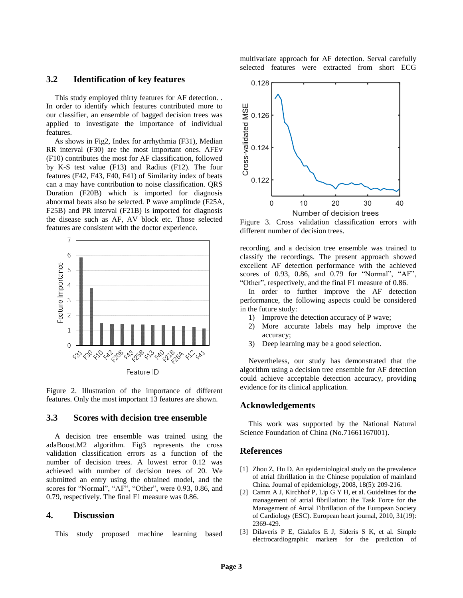# **3.2 Identification of key features**

This study employed thirty features for AF detection. . In order to identify which features contributed more to our classifier, an ensemble of bagged decision trees was applied to investigate the importance of individual features.

As shows in Fig2, Index for arrhythmia (F31), Median RR interval (F30) are the most important ones. AFEv (F10) contributes the most for AF classification, followed by K-S test value (F13) and Radius (F12). The four features (F42, F43, F40, F41) of Similarity index of beats can a may have contribution to noise classification. QRS Duration (F20B) which is imported for diagnosis abnormal beats also be selected. P wave amplitude (F25A, F25B) and PR interval (F21B) is imported for diagnosis the disease such as AF, AV block etc. Those selected features are consistent with the doctor experience.



Feature ID

Figure 2. Illustration of the importance of different features. Only the most important 13 features are shown.

### **3.3 Scores with decision tree ensemble**

A decision tree ensemble was trained using the adaBoost.M2 algorithm. Fig3 represents the cross validation classification errors as a function of the number of decision trees. A lowest error 0.12 was achieved with number of decision trees of 20. We submitted an entry using the obtained model, and the scores for "Normal", "AF", "Other", were 0.93, 0.86, and 0.79, respectively. The final F1 measure was 0.86.

# **4. Discussion**

This study proposed machine learning based

multivariate approach for AF detection. Serval carefully selected features were extracted from short ECG



Figure 3. Cross validation classification errors with different number of decision trees.

recording, and a decision tree ensemble was trained to classify the recordings. The present approach showed excellent AF detection performance with the achieved scores of 0.93, 0.86, and 0.79 for "Normal", "AF", "Other", respectively, and the final F1 measure of 0.86.

In order to further improve the AF detection performance, the following aspects could be considered in the future study:

- 1) Improve the detection accuracy of P wave;
- 2) More accurate labels may help improve the accuracy;
- 3) Deep learning may be a good selection.

Nevertheless, our study has demonstrated that the algorithm using a decision tree ensemble for AF detection could achieve acceptable detection accuracy, providing evidence for its clinical application.

#### **Acknowledgements**

This work was supported by the National Natural Science Foundation of China (No.71661167001).

#### **References**

- [1] Zhou Z, Hu D. An epidemiological study on the prevalence of atrial fibrillation in the Chinese population of mainland China. Journal of epidemiology, 2008, 18(5): 209-216.
- [2] Camm A J, Kirchhof P, Lip G Y H, et al. Guidelines for the management of atrial fibrillation: the Task Force for the Management of Atrial Fibrillation of the European Society of Cardiology (ESC). European heart journal, 2010, 31(19): 2369-429.
- [3] Dilaveris P E, Gialafos E J, Sideris S K, et al. Simple electrocardiographic markers for the prediction of